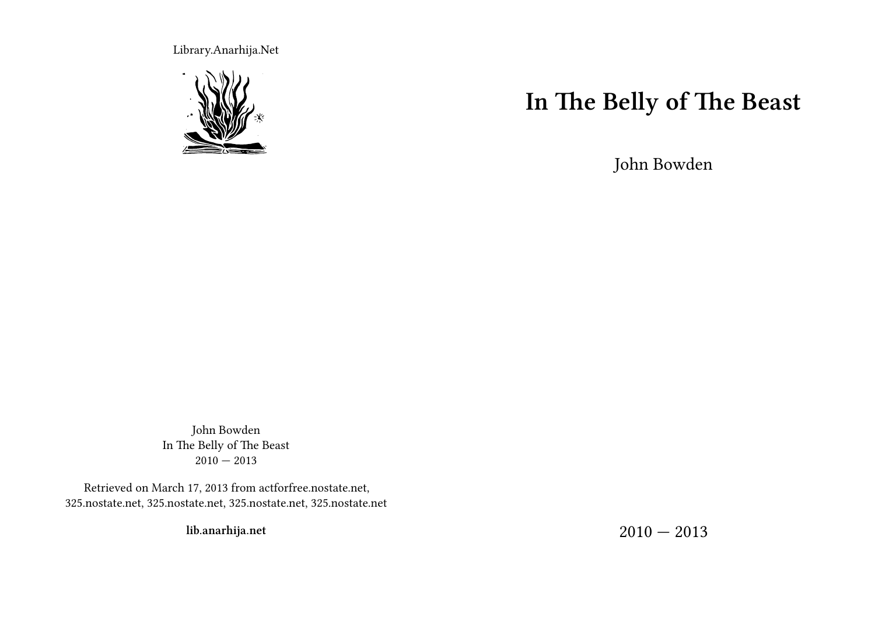Library.Anarhija.Net



### **In The Belly of The Beast**

John Bowden

John Bowden In The Belly of The Beast  $2010 - 2013$ 

Retrieved on March 17, 2013 from actforfree.nostate.net, 325.nostate.net, 325.nostate.net, 325.nostate.net, 325.nostate.net

**lib.anarhija.net**

 $2010 - 2013$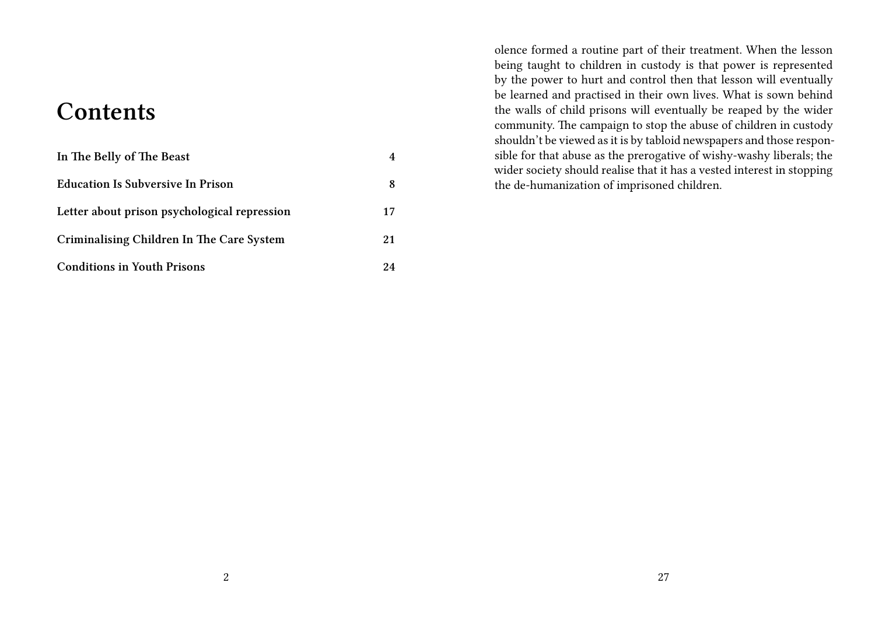#### **Contents**

| In The Belly of The Beast                    |    |
|----------------------------------------------|----|
| <b>Education Is Subversive In Prison</b>     | 8  |
| Letter about prison psychological repression | 17 |
| Criminalising Children In The Care System    | 21 |
| <b>Conditions in Youth Prisons</b>           | 24 |

olence formed a routine part of their treatment. When the lesson being taught to children in custody is that power is represented by the power to hurt and control then that lesson will eventually be learned and practised in their own lives. What is sown behind the walls of child prisons will eventually be reaped by the wider community. The campaign to stop the abuse of children in custody shouldn't be viewed as it is by tabloid newspapers and those responsible for that abuse as the prerogative of wishy-washy liberals; the wider society should realise that it has a vested interest in stopping the de-humanization of imprisoned children.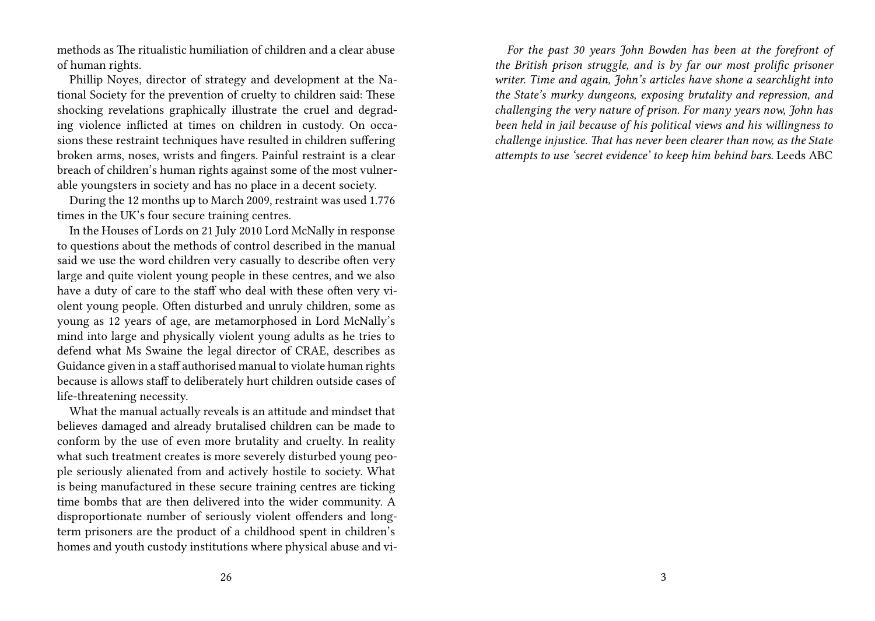methods as The ritualistic humiliation of children and a clear abuse of human rights.

Phillip Noyes, director of strategy and development at the National Society for the prevention of cruelty to children said: These shocking revelations graphically illustrate the cruel and degrading violence inflicted at times on children in custody. On occasions these restraint techniques have resulted in children suffering broken arms, noses, wrists and fingers. Painful restraint is a clear breach of children's human rights against some of the most vulnerable youngsters in society and has no place in a decent society.

During the 12 months up to March 2009, restraint was used 1.776 times in the UK's four secure training centres.

In the Houses of Lords on 21 July 2010 Lord McNally in response to questions about the methods of control described in the manual said we use the word children very casually to describe often very large and quite violent young people in these centres, and we also have a duty of care to the staff who deal with these often very violent young people. Often disturbed and unruly children, some as young as 12 years of age, are metamorphosed in Lord McNally's mind into large and physically violent young adults as he tries to defend what Ms Swaine the legal director of CRAE, describes as Guidance given in a staff authorised manual to violate human rights because is allows staff to deliberately hurt children outside cases of life-threatening necessity.

What the manual actually reveals is an attitude and mindset that believes damaged and already brutalised children can be made to conform by the use of even more brutality and cruelty. In reality what such treatment creates is more severely disturbed young people seriously alienated from and actively hostile to society. What is being manufactured in these secure training centres are ticking time bombs that are then delivered into the wider community. A disproportionate number of seriously violent offenders and longterm prisoners are the product of a childhood spent in children's homes and youth custody institutions where physical abuse and vi-

*For the past 30 years John Bowden has been at the forefront of the British prison struggle, and is by far our most prolific prisoner writer. Time and again, John's articles have shone a searchlight into the State's murky dungeons, exposing brutality and repression, and challenging the very nature of prison. For many years now, John has been held in jail because of his political views and his willingness to challenge injustice. That has never been clearer than now, as the State attempts to use 'secret evidence' to keep him behind bars.* Leeds ABC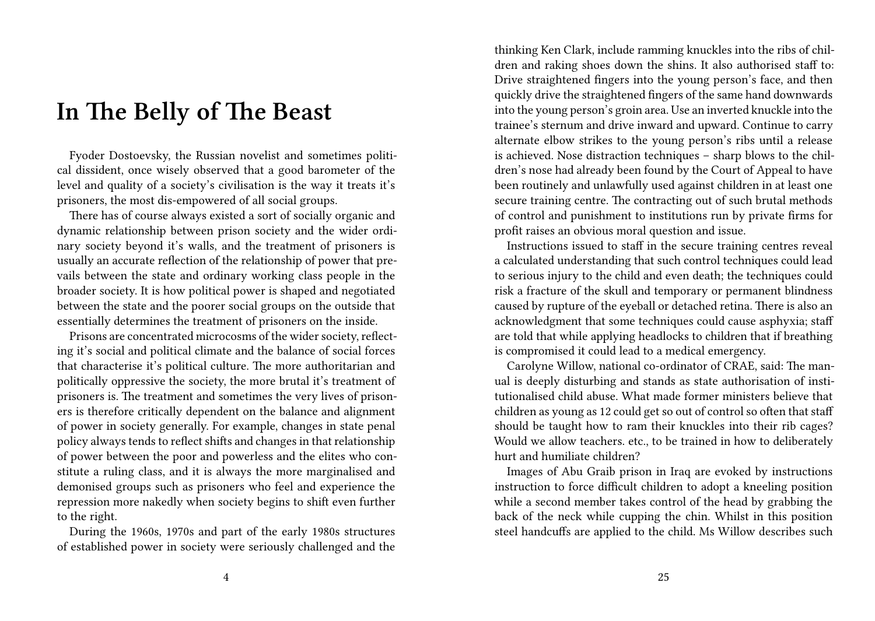#### **In The Belly of The Beast**

Fyoder Dostoevsky, the Russian novelist and sometimes political dissident, once wisely observed that a good barometer of the level and quality of a society's civilisation is the way it treats it's prisoners, the most dis-empowered of all social groups.

There has of course always existed a sort of socially organic and dynamic relationship between prison society and the wider ordinary society beyond it's walls, and the treatment of prisoners is usually an accurate reflection of the relationship of power that prevails between the state and ordinary working class people in the broader society. It is how political power is shaped and negotiated between the state and the poorer social groups on the outside that essentially determines the treatment of prisoners on the inside.

Prisons are concentrated microcosms of the wider society, reflecting it's social and political climate and the balance of social forces that characterise it's political culture. The more authoritarian and politically oppressive the society, the more brutal it's treatment of prisoners is. The treatment and sometimes the very lives of prisoners is therefore critically dependent on the balance and alignment of power in society generally. For example, changes in state penal policy always tends to reflect shifts and changes in that relationship of power between the poor and powerless and the elites who constitute a ruling class, and it is always the more marginalised and demonised groups such as prisoners who feel and experience the repression more nakedly when society begins to shift even further to the right.

During the 1960s, 1970s and part of the early 1980s structures of established power in society were seriously challenged and the thinking Ken Clark, include ramming knuckles into the ribs of children and raking shoes down the shins. It also authorised staff to: Drive straightened fingers into the young person's face, and then quickly drive the straightened fingers of the same hand downwards into the young person's groin area. Use an inverted knuckle into the trainee's sternum and drive inward and upward. Continue to carry alternate elbow strikes to the young person's ribs until a release is achieved. Nose distraction techniques – sharp blows to the children's nose had already been found by the Court of Appeal to have been routinely and unlawfully used against children in at least one secure training centre. The contracting out of such brutal methods of control and punishment to institutions run by private firms for profit raises an obvious moral question and issue.

Instructions issued to staff in the secure training centres reveal a calculated understanding that such control techniques could lead to serious injury to the child and even death; the techniques could risk a fracture of the skull and temporary or permanent blindness caused by rupture of the eyeball or detached retina. There is also an acknowledgment that some techniques could cause asphyxia; staff are told that while applying headlocks to children that if breathing is compromised it could lead to a medical emergency.

Carolyne Willow, national co-ordinator of CRAE, said: The manual is deeply disturbing and stands as state authorisation of institutionalised child abuse. What made former ministers believe that children as young as 12 could get so out of control so often that staff should be taught how to ram their knuckles into their rib cages? Would we allow teachers. etc., to be trained in how to deliberately hurt and humiliate children?

Images of Abu Graib prison in Iraq are evoked by instructions instruction to force difficult children to adopt a kneeling position while a second member takes control of the head by grabbing the back of the neck while cupping the chin. Whilst in this position steel handcuffs are applied to the child. Ms Willow describes such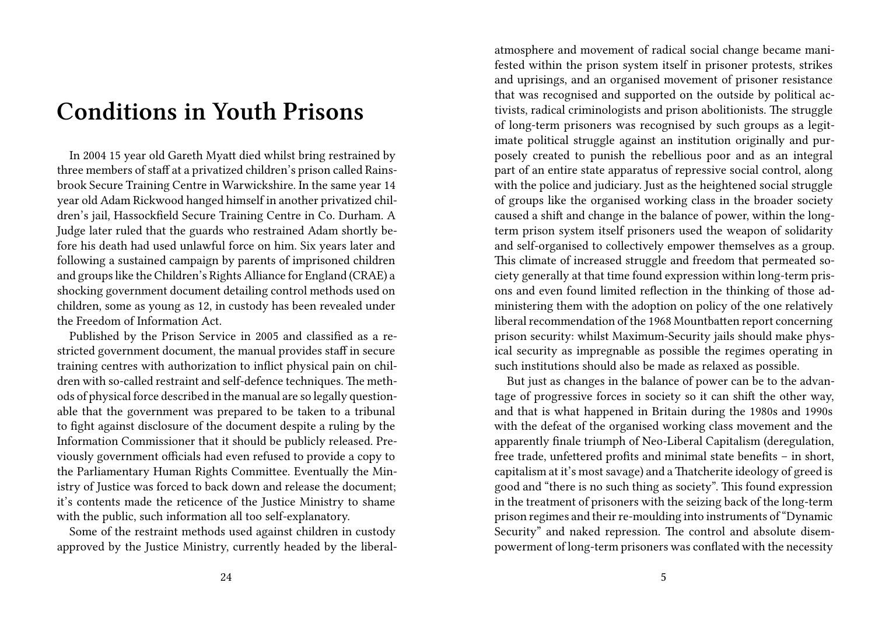### **Conditions in Youth Prisons**

In 2004 15 year old Gareth Myatt died whilst bring restrained by three members of staff at a privatized children's prison called Rainsbrook Secure Training Centre in Warwickshire. In the same year 14 year old Adam Rickwood hanged himself in another privatized children's jail, Hassockfield Secure Training Centre in Co. Durham. A Judge later ruled that the guards who restrained Adam shortly before his death had used unlawful force on him. Six years later and following a sustained campaign by parents of imprisoned children and groups like the Children's Rights Alliance for England (CRAE) a shocking government document detailing control methods used on children, some as young as 12, in custody has been revealed under the Freedom of Information Act.

Published by the Prison Service in 2005 and classified as a restricted government document, the manual provides staff in secure training centres with authorization to inflict physical pain on children with so-called restraint and self-defence techniques. The methods of physical force described in the manual are so legally questionable that the government was prepared to be taken to a tribunal to fight against disclosure of the document despite a ruling by the Information Commissioner that it should be publicly released. Previously government officials had even refused to provide a copy to the Parliamentary Human Rights Committee. Eventually the Ministry of Justice was forced to back down and release the document; it's contents made the reticence of the Justice Ministry to shame with the public, such information all too self-explanatory.

Some of the restraint methods used against children in custody approved by the Justice Ministry, currently headed by the liberal-

atmosphere and movement of radical social change became manifested within the prison system itself in prisoner protests, strikes and uprisings, and an organised movement of prisoner resistance that was recognised and supported on the outside by political activists, radical criminologists and prison abolitionists. The struggle of long-term prisoners was recognised by such groups as a legitimate political struggle against an institution originally and purposely created to punish the rebellious poor and as an integral part of an entire state apparatus of repressive social control, along with the police and judiciary. Just as the heightened social struggle of groups like the organised working class in the broader society caused a shift and change in the balance of power, within the longterm prison system itself prisoners used the weapon of solidarity and self-organised to collectively empower themselves as a group. This climate of increased struggle and freedom that permeated society generally at that time found expression within long-term prisons and even found limited reflection in the thinking of those administering them with the adoption on policy of the one relatively liberal recommendation of the 1968 Mountbatten report concerning prison security: whilst Maximum-Security jails should make physical security as impregnable as possible the regimes operating in such institutions should also be made as relaxed as possible.

But just as changes in the balance of power can be to the advantage of progressive forces in society so it can shift the other way, and that is what happened in Britain during the 1980s and 1990s with the defeat of the organised working class movement and the apparently finale triumph of Neo-Liberal Capitalism (deregulation, free trade, unfettered profits and minimal state benefits – in short, capitalism at it's most savage) and a Thatcherite ideology of greed is good and "there is no such thing as society". This found expression in the treatment of prisoners with the seizing back of the long-term prison regimes and their re-moulding into instruments of "Dynamic Security" and naked repression. The control and absolute disempowerment of long-term prisoners was conflated with the necessity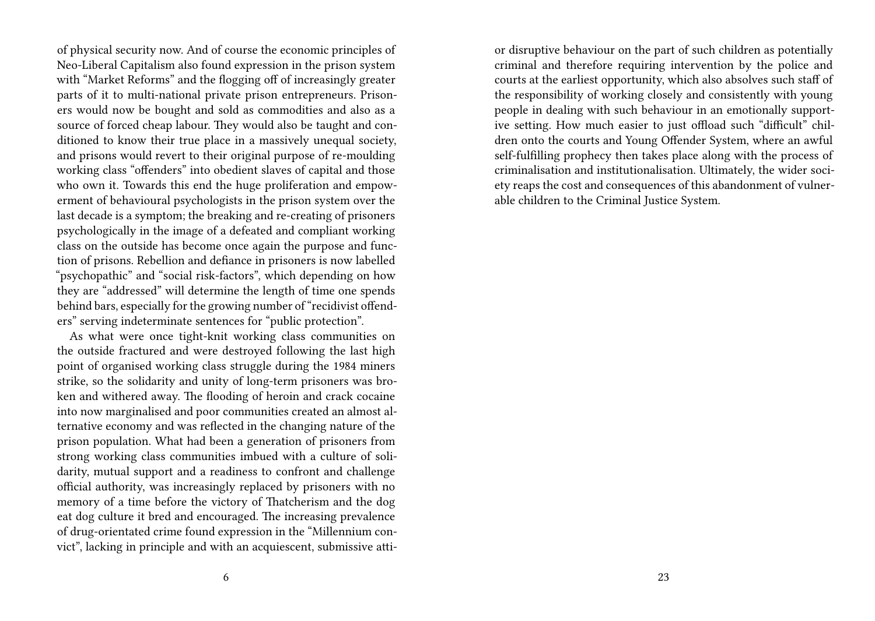of physical security now. And of course the economic principles of Neo-Liberal Capitalism also found expression in the prison system with "Market Reforms" and the flogging off of increasingly greater parts of it to multi-national private prison entrepreneurs. Prisoners would now be bought and sold as commodities and also as a source of forced cheap labour. They would also be taught and conditioned to know their true place in a massively unequal society, and prisons would revert to their original purpose of re-moulding working class "offenders" into obedient slaves of capital and those who own it. Towards this end the huge proliferation and empowerment of behavioural psychologists in the prison system over the last decade is a symptom; the breaking and re-creating of prisoners psychologically in the image of a defeated and compliant working class on the outside has become once again the purpose and function of prisons. Rebellion and defiance in prisoners is now labelled "psychopathic" and "social risk-factors", which depending on how they are "addressed" will determine the length of time one spends behind bars, especially for the growing number of "recidivist offenders" serving indeterminate sentences for "public protection".

As what were once tight-knit working class communities on the outside fractured and were destroyed following the last high point of organised working class struggle during the 1984 miners strike, so the solidarity and unity of long-term prisoners was broken and withered away. The flooding of heroin and crack cocaine into now marginalised and poor communities created an almost alternative economy and was reflected in the changing nature of the prison population. What had been a generation of prisoners from strong working class communities imbued with a culture of solidarity, mutual support and a readiness to confront and challenge official authority, was increasingly replaced by prisoners with no memory of a time before the victory of Thatcherism and the dog eat dog culture it bred and encouraged. The increasing prevalence of drug-orientated crime found expression in the "Millennium convict", lacking in principle and with an acquiescent, submissive attior disruptive behaviour on the part of such children as potentially criminal and therefore requiring intervention by the police and courts at the earliest opportunity, which also absolves such staff of the responsibility of working closely and consistently with young people in dealing with such behaviour in an emotionally supportive setting. How much easier to just offload such "difficult" children onto the courts and Young Offender System, where an awful self-fulfilling prophecy then takes place along with the process of criminalisation and institutionalisation. Ultimately, the wider society reaps the cost and consequences of this abandonment of vulnerable children to the Criminal Justice System.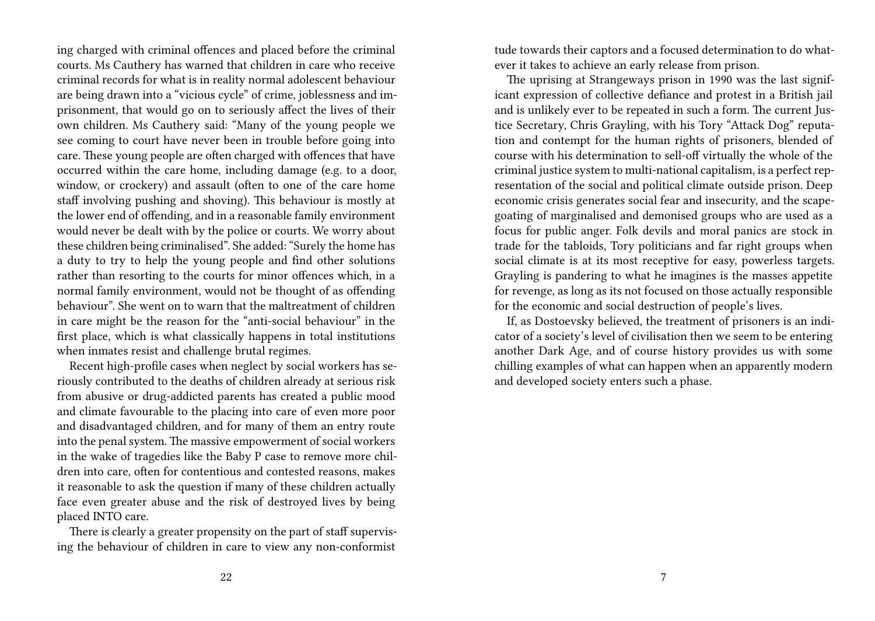ing charged with criminal offences and placed before the criminal courts. Ms Cauthery has warned that children in care who receive criminal records for what is in reality normal adolescent behaviour are being drawn into a "vicious cycle" of crime, joblessness and imprisonment, that would go on to seriously affect the lives of their own children. Ms Cauthery said: "Many of the young people we see coming to court have never been in trouble before going into care. These young people are often charged with offences that have occurred within the care home, including damage (e.g. to a door, window, or crockery) and assault (often to one of the care home staff involving pushing and shoving). This behaviour is mostly at the lower end of offending, and in a reasonable family environment would never be dealt with by the police or courts. We worry about these children being criminalised". She added: "Surely the home has a duty to try to help the young people and find other solutions rather than resorting to the courts for minor offences which, in a normal family environment, would not be thought of as offending behaviour". She went on to warn that the maltreatment of children in care might be the reason for the "anti-social behaviour" in the first place, which is what classically happens in total institutions when inmates resist and challenge brutal regimes.

Recent high-profile cases when neglect by social workers has seriously contributed to the deaths of children already at serious risk from abusive or drug-addicted parents has created a public mood and climate favourable to the placing into care of even more poor and disadvantaged children, and for many of them an entry route into the penal system. The massive empowerment of social workers in the wake of tragedies like the Baby P case to remove more children into care, often for contentious and contested reasons, makes it reasonable to ask the question if many of these children actually face even greater abuse and the risk of destroyed lives by being placed INTO care.

There is clearly a greater propensity on the part of staff supervising the behaviour of children in care to view any non-conformist

tude towards their captors and a focused determination to do whatever it takes to achieve an early release from prison.

The uprising at Strangeways prison in 1990 was the last significant expression of collective defiance and protest in a British jail and is unlikely ever to be repeated in such a form. The current Justice Secretary, Chris Grayling, with his Tory "Attack Dog" reputation and contempt for the human rights of prisoners, blended of course with his determination to sell-off virtually the whole of the criminal justice system to multi-national capitalism, is a perfect representation of the social and political climate outside prison. Deep economic crisis generates social fear and insecurity, and the scapegoating of marginalised and demonised groups who are used as a focus for public anger. Folk devils and moral panics are stock in trade for the tabloids, Tory politicians and far right groups when social climate is at its most receptive for easy, powerless targets. Grayling is pandering to what he imagines is the masses appetite for revenge, as long as its not focused on those actually responsible for the economic and social destruction of people's lives.

If, as Dostoevsky believed, the treatment of prisoners is an indicator of a society's level of civilisation then we seem to be entering another Dark Age, and of course history provides us with some chilling examples of what can happen when an apparently modern and developed society enters such a phase.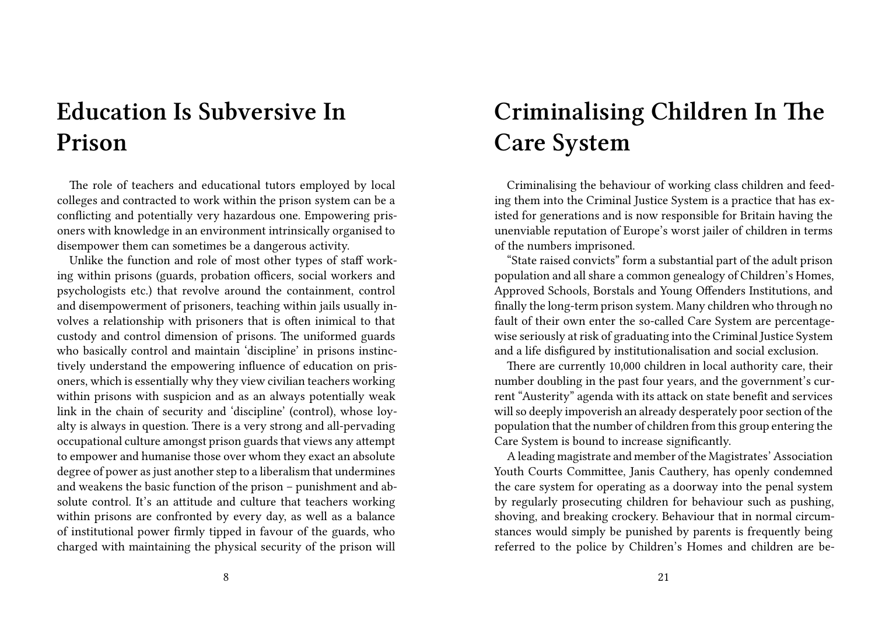# **Education Is Subversive In Prison**

The role of teachers and educational tutors employed by local colleges and contracted to work within the prison system can be a conflicting and potentially very hazardous one. Empowering prisoners with knowledge in an environment intrinsically organised to disempower them can sometimes be a dangerous activity.

Unlike the function and role of most other types of staff working within prisons (guards, probation officers, social workers and psychologists etc.) that revolve around the containment, control and disempowerment of prisoners, teaching within jails usually involves a relationship with prisoners that is often inimical to that custody and control dimension of prisons. The uniformed guards who basically control and maintain 'discipline' in prisons instinctively understand the empowering influence of education on prisoners, which is essentially why they view civilian teachers working within prisons with suspicion and as an always potentially weak link in the chain of security and 'discipline' (control), whose loyalty is always in question. There is a very strong and all-pervading occupational culture amongst prison guards that views any attempt to empower and humanise those over whom they exact an absolute degree of power as just another step to a liberalism that undermines and weakens the basic function of the prison – punishment and absolute control. It's an attitude and culture that teachers working within prisons are confronted by every day, as well as a balance of institutional power firmly tipped in favour of the guards, who charged with maintaining the physical security of the prison will

# **Criminalising Children In The Care System**

Criminalising the behaviour of working class children and feeding them into the Criminal Justice System is a practice that has existed for generations and is now responsible for Britain having the unenviable reputation of Europe's worst jailer of children in terms of the numbers imprisoned.

"State raised convicts" form a substantial part of the adult prison population and all share a common genealogy of Children's Homes, Approved Schools, Borstals and Young Offenders Institutions, and finally the long-term prison system. Many children who through no fault of their own enter the so-called Care System are percentagewise seriously at risk of graduating into the Criminal Justice System and a life disfigured by institutionalisation and social exclusion.

There are currently 10,000 children in local authority care, their number doubling in the past four years, and the government's current "Austerity" agenda with its attack on state benefit and services will so deeply impoverish an already desperately poor section of the population that the number of children from this group entering the Care System is bound to increase significantly.

A leading magistrate and member of the Magistrates' Association Youth Courts Committee, Janis Cauthery, has openly condemned the care system for operating as a doorway into the penal system by regularly prosecuting children for behaviour such as pushing, shoving, and breaking crockery. Behaviour that in normal circumstances would simply be punished by parents is frequently being referred to the police by Children's Homes and children are be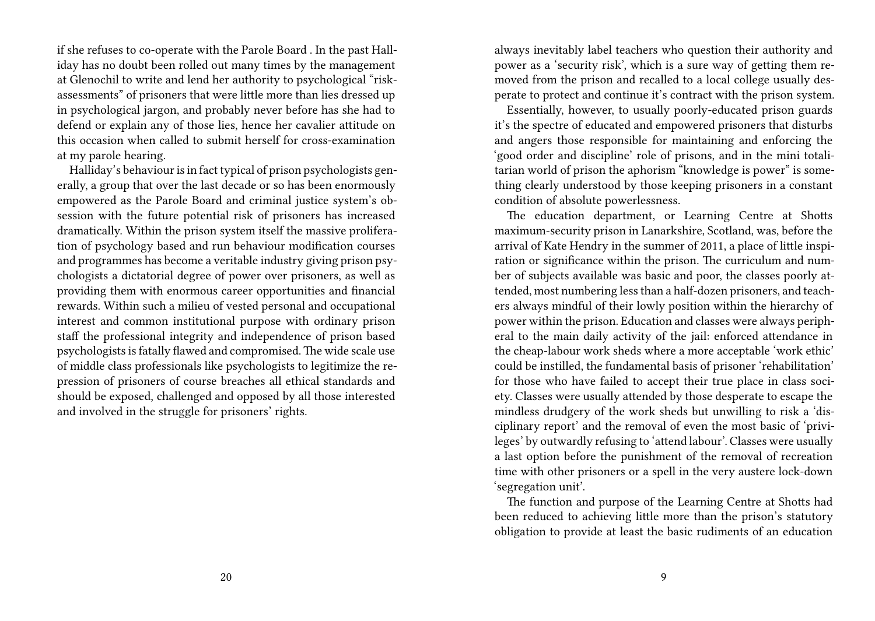if she refuses to co-operate with the Parole Board . In the past Halliday has no doubt been rolled out many times by the management at Glenochil to write and lend her authority to psychological "riskassessments" of prisoners that were little more than lies dressed up in psychological jargon, and probably never before has she had to defend or explain any of those lies, hence her cavalier attitude on this occasion when called to submit herself for cross-examination at my parole hearing.

Halliday's behaviour is in fact typical of prison psychologists generally, a group that over the last decade or so has been enormously empowered as the Parole Board and criminal justice system's obsession with the future potential risk of prisoners has increased dramatically. Within the prison system itself the massive proliferation of psychology based and run behaviour modification courses and programmes has become a veritable industry giving prison psychologists a dictatorial degree of power over prisoners, as well as providing them with enormous career opportunities and financial rewards. Within such a milieu of vested personal and occupational interest and common institutional purpose with ordinary prison staff the professional integrity and independence of prison based psychologists is fatally flawed and compromised. The wide scale use of middle class professionals like psychologists to legitimize the repression of prisoners of course breaches all ethical standards and should be exposed, challenged and opposed by all those interested and involved in the struggle for prisoners' rights.

always inevitably label teachers who question their authority and power as a 'security risk', which is a sure way of getting them removed from the prison and recalled to a local college usually desperate to protect and continue it's contract with the prison system.

Essentially, however, to usually poorly-educated prison guards it's the spectre of educated and empowered prisoners that disturbs and angers those responsible for maintaining and enforcing the 'good order and discipline' role of prisons, and in the mini totalitarian world of prison the aphorism "knowledge is power" is something clearly understood by those keeping prisoners in a constant condition of absolute powerlessness.

The education department, or Learning Centre at Shotts maximum-security prison in Lanarkshire, Scotland, was, before the arrival of Kate Hendry in the summer of 2011, a place of little inspiration or significance within the prison. The curriculum and number of subjects available was basic and poor, the classes poorly attended, most numbering less than a half-dozen prisoners, and teachers always mindful of their lowly position within the hierarchy of power within the prison. Education and classes were always peripheral to the main daily activity of the jail: enforced attendance in the cheap-labour work sheds where a more acceptable 'work ethic' could be instilled, the fundamental basis of prisoner 'rehabilitation' for those who have failed to accept their true place in class society. Classes were usually attended by those desperate to escape the mindless drudgery of the work sheds but unwilling to risk a 'disciplinary report' and the removal of even the most basic of 'privileges' by outwardly refusing to 'attend labour'. Classes were usually a last option before the punishment of the removal of recreation time with other prisoners or a spell in the very austere lock-down 'segregation unit'.

The function and purpose of the Learning Centre at Shotts had been reduced to achieving little more than the prison's statutory obligation to provide at least the basic rudiments of an education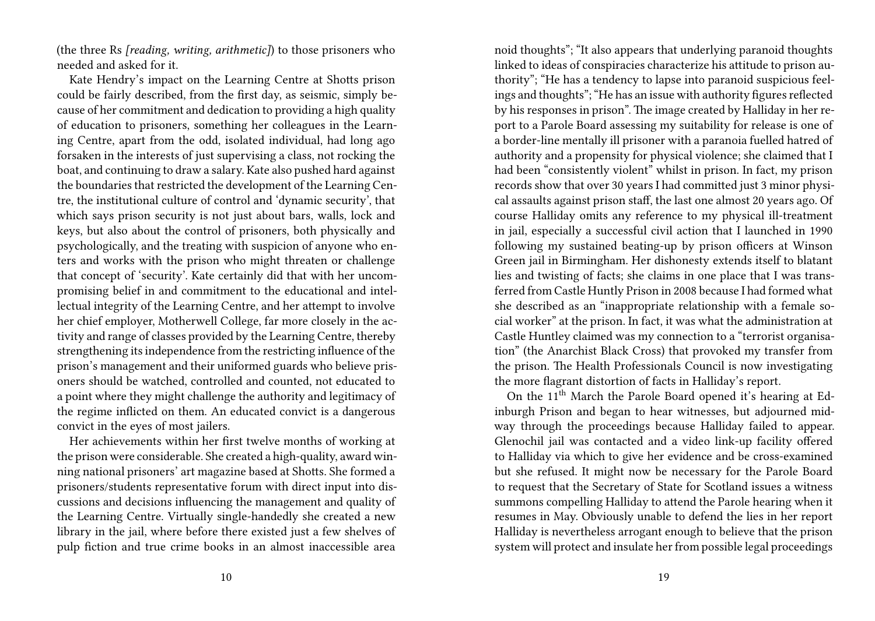(the three Rs *[reading, writing, arithmetic]*) to those prisoners who needed and asked for it.

Kate Hendry's impact on the Learning Centre at Shotts prison could be fairly described, from the first day, as seismic, simply because of her commitment and dedication to providing a high quality of education to prisoners, something her colleagues in the Learning Centre, apart from the odd, isolated individual, had long ago forsaken in the interests of just supervising a class, not rocking the boat, and continuing to draw a salary. Kate also pushed hard against the boundaries that restricted the development of the Learning Centre, the institutional culture of control and 'dynamic security', that which says prison security is not just about bars, walls, lock and keys, but also about the control of prisoners, both physically and psychologically, and the treating with suspicion of anyone who enters and works with the prison who might threaten or challenge that concept of 'security'. Kate certainly did that with her uncompromising belief in and commitment to the educational and intellectual integrity of the Learning Centre, and her attempt to involve her chief employer, Motherwell College, far more closely in the activity and range of classes provided by the Learning Centre, thereby strengthening its independence from the restricting influence of the prison's management and their uniformed guards who believe prisoners should be watched, controlled and counted, not educated to a point where they might challenge the authority and legitimacy of the regime inflicted on them. An educated convict is a dangerous convict in the eyes of most jailers.

Her achievements within her first twelve months of working at the prison were considerable. She created a high-quality, award winning national prisoners' art magazine based at Shotts. She formed a prisoners/students representative forum with direct input into discussions and decisions influencing the management and quality of the Learning Centre. Virtually single-handedly she created a new library in the jail, where before there existed just a few shelves of pulp fiction and true crime books in an almost inaccessible area

noid thoughts"; "It also appears that underlying paranoid thoughts linked to ideas of conspiracies characterize his attitude to prison authority"; "He has a tendency to lapse into paranoid suspicious feelings and thoughts"; "He has an issue with authority figures reflected by his responses in prison". The image created by Halliday in her report to a Parole Board assessing my suitability for release is one of a border-line mentally ill prisoner with a paranoia fuelled hatred of authority and a propensity for physical violence; she claimed that I had been "consistently violent" whilst in prison. In fact, my prison records show that over 30 years I had committed just 3 minor physical assaults against prison staff, the last one almost 20 years ago. Of course Halliday omits any reference to my physical ill-treatment in jail, especially a successful civil action that I launched in 1990 following my sustained beating-up by prison officers at Winson Green jail in Birmingham. Her dishonesty extends itself to blatant lies and twisting of facts; she claims in one place that I was transferred from Castle Huntly Prison in 2008 because I had formed what she described as an "inappropriate relationship with a female social worker" at the prison. In fact, it was what the administration at Castle Huntley claimed was my connection to a "terrorist organisation" (the Anarchist Black Cross) that provoked my transfer from the prison. The Health Professionals Council is now investigating the more flagrant distortion of facts in Halliday's report.

On the 11th March the Parole Board opened it's hearing at Edinburgh Prison and began to hear witnesses, but adjourned midway through the proceedings because Halliday failed to appear. Glenochil jail was contacted and a video link-up facility offered to Halliday via which to give her evidence and be cross-examined but she refused. It might now be necessary for the Parole Board to request that the Secretary of State for Scotland issues a witness summons compelling Halliday to attend the Parole hearing when it resumes in May. Obviously unable to defend the lies in her report Halliday is nevertheless arrogant enough to believe that the prison system will protect and insulate her from possible legal proceedings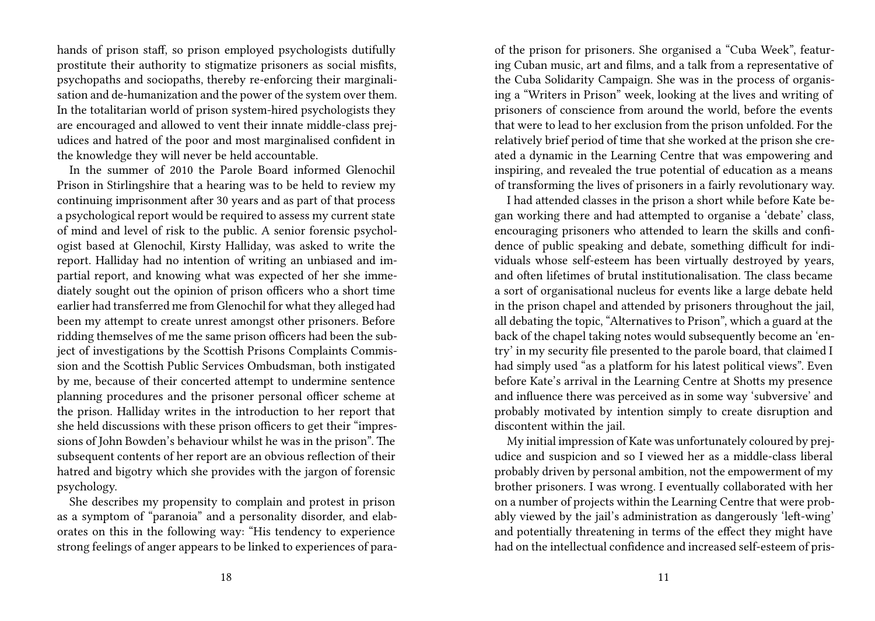hands of prison staff, so prison employed psychologists dutifully prostitute their authority to stigmatize prisoners as social misfits, psychopaths and sociopaths, thereby re-enforcing their marginalisation and de-humanization and the power of the system over them. In the totalitarian world of prison system-hired psychologists they are encouraged and allowed to vent their innate middle-class prejudices and hatred of the poor and most marginalised confident in the knowledge they will never be held accountable.

In the summer of 2010 the Parole Board informed Glenochil Prison in Stirlingshire that a hearing was to be held to review my continuing imprisonment after 30 years and as part of that process a psychological report would be required to assess my current state of mind and level of risk to the public. A senior forensic psychologist based at Glenochil, Kirsty Halliday, was asked to write the report. Halliday had no intention of writing an unbiased and impartial report, and knowing what was expected of her she immediately sought out the opinion of prison officers who a short time earlier had transferred me from Glenochil for what they alleged had been my attempt to create unrest amongst other prisoners. Before ridding themselves of me the same prison officers had been the subject of investigations by the Scottish Prisons Complaints Commission and the Scottish Public Services Ombudsman, both instigated by me, because of their concerted attempt to undermine sentence planning procedures and the prisoner personal officer scheme at the prison. Halliday writes in the introduction to her report that she held discussions with these prison officers to get their "impressions of John Bowden's behaviour whilst he was in the prison". The subsequent contents of her report are an obvious reflection of their hatred and bigotry which she provides with the jargon of forensic psychology.

She describes my propensity to complain and protest in prison as a symptom of "paranoia" and a personality disorder, and elaborates on this in the following way: "His tendency to experience strong feelings of anger appears to be linked to experiences of paraof the prison for prisoners. She organised a "Cuba Week", featuring Cuban music, art and films, and a talk from a representative of the Cuba Solidarity Campaign. She was in the process of organising a "Writers in Prison" week, looking at the lives and writing of prisoners of conscience from around the world, before the events that were to lead to her exclusion from the prison unfolded. For the relatively brief period of time that she worked at the prison she created a dynamic in the Learning Centre that was empowering and inspiring, and revealed the true potential of education as a means of transforming the lives of prisoners in a fairly revolutionary way.

I had attended classes in the prison a short while before Kate began working there and had attempted to organise a 'debate' class, encouraging prisoners who attended to learn the skills and confidence of public speaking and debate, something difficult for individuals whose self-esteem has been virtually destroyed by years, and often lifetimes of brutal institutionalisation. The class became a sort of organisational nucleus for events like a large debate held in the prison chapel and attended by prisoners throughout the jail, all debating the topic, "Alternatives to Prison", which a guard at the back of the chapel taking notes would subsequently become an 'entry' in my security file presented to the parole board, that claimed I had simply used "as a platform for his latest political views". Even before Kate's arrival in the Learning Centre at Shotts my presence and influence there was perceived as in some way 'subversive' and probably motivated by intention simply to create disruption and discontent within the jail.

My initial impression of Kate was unfortunately coloured by prejudice and suspicion and so I viewed her as a middle-class liberal probably driven by personal ambition, not the empowerment of my brother prisoners. I was wrong. I eventually collaborated with her on a number of projects within the Learning Centre that were probably viewed by the jail's administration as dangerously 'left-wing' and potentially threatening in terms of the effect they might have had on the intellectual confidence and increased self-esteem of pris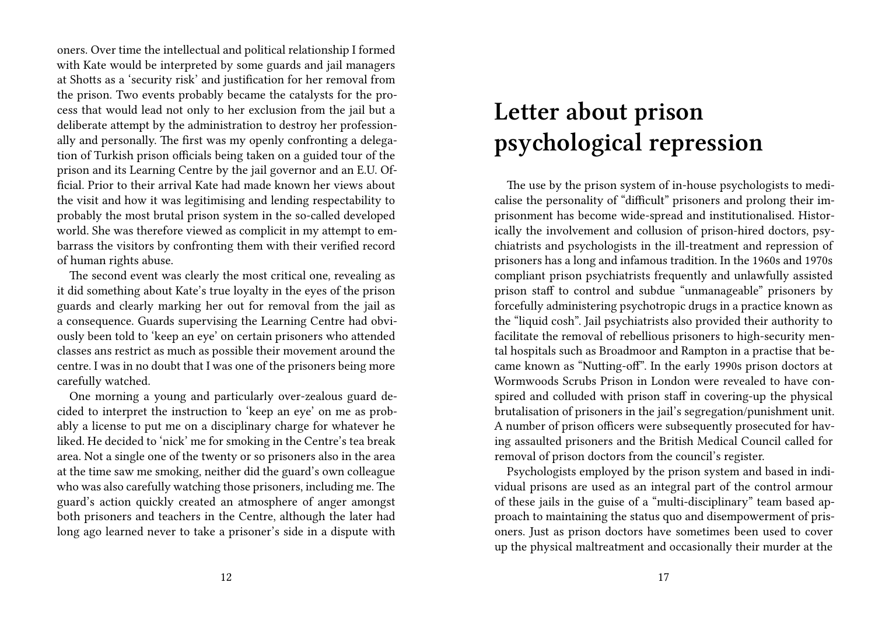oners. Over time the intellectual and political relationship I formed with Kate would be interpreted by some guards and jail managers at Shotts as a 'security risk' and justification for her removal from the prison. Two events probably became the catalysts for the process that would lead not only to her exclusion from the jail but a deliberate attempt by the administration to destroy her professionally and personally. The first was my openly confronting a delegation of Turkish prison officials being taken on a guided tour of the prison and its Learning Centre by the jail governor and an E.U. Official. Prior to their arrival Kate had made known her views about the visit and how it was legitimising and lending respectability to probably the most brutal prison system in the so-called developed world. She was therefore viewed as complicit in my attempt to embarrass the visitors by confronting them with their verified record of human rights abuse.

The second event was clearly the most critical one, revealing as it did something about Kate's true loyalty in the eyes of the prison guards and clearly marking her out for removal from the jail as a consequence. Guards supervising the Learning Centre had obviously been told to 'keep an eye' on certain prisoners who attended classes ans restrict as much as possible their movement around the centre. I was in no doubt that I was one of the prisoners being more carefully watched.

One morning a young and particularly over-zealous guard decided to interpret the instruction to 'keep an eye' on me as probably a license to put me on a disciplinary charge for whatever he liked. He decided to 'nick' me for smoking in the Centre's tea break area. Not a single one of the twenty or so prisoners also in the area at the time saw me smoking, neither did the guard's own colleague who was also carefully watching those prisoners, including me. The guard's action quickly created an atmosphere of anger amongst both prisoners and teachers in the Centre, although the later had long ago learned never to take a prisoner's side in a dispute with

## **Letter about prison psychological repression**

The use by the prison system of in-house psychologists to medicalise the personality of "difficult" prisoners and prolong their imprisonment has become wide-spread and institutionalised. Historically the involvement and collusion of prison-hired doctors, psychiatrists and psychologists in the ill-treatment and repression of prisoners has a long and infamous tradition. In the 1960s and 1970s compliant prison psychiatrists frequently and unlawfully assisted prison staff to control and subdue "unmanageable" prisoners by forcefully administering psychotropic drugs in a practice known as the "liquid cosh". Jail psychiatrists also provided their authority to facilitate the removal of rebellious prisoners to high-security mental hospitals such as Broadmoor and Rampton in a practise that became known as "Nutting-off". In the early 1990s prison doctors at Wormwoods Scrubs Prison in London were revealed to have conspired and colluded with prison staff in covering-up the physical brutalisation of prisoners in the jail's segregation/punishment unit. A number of prison officers were subsequently prosecuted for having assaulted prisoners and the British Medical Council called for removal of prison doctors from the council's register.

Psychologists employed by the prison system and based in individual prisons are used as an integral part of the control armour of these jails in the guise of a "multi-disciplinary" team based approach to maintaining the status quo and disempowerment of prisoners. Just as prison doctors have sometimes been used to cover up the physical maltreatment and occasionally their murder at the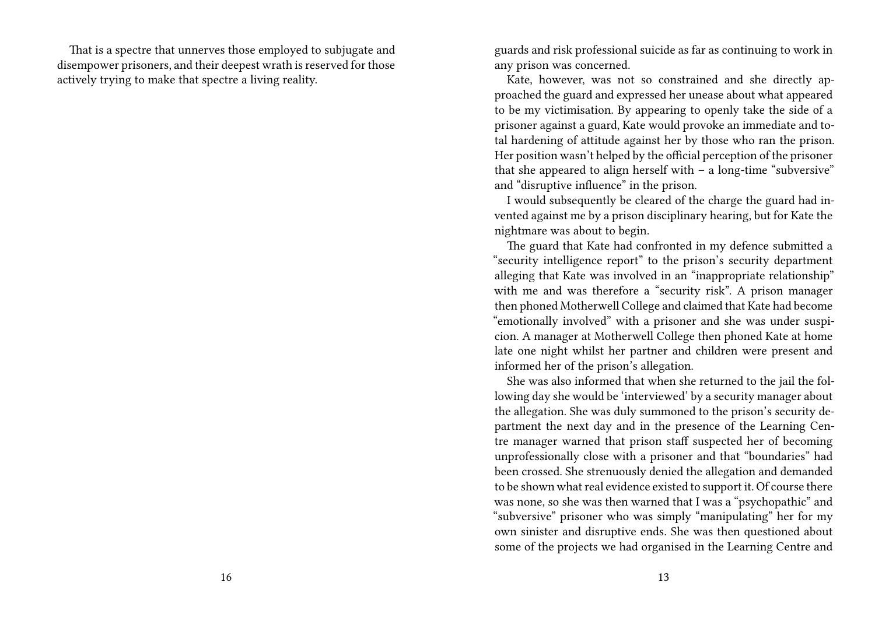That is a spectre that unnerves those employed to subjugate and disempower prisoners, and their deepest wrath is reserved for those actively trying to make that spectre a living reality.

guards and risk professional suicide as far as continuing to work in any prison was concerned.

Kate, however, was not so constrained and she directly approached the guard and expressed her unease about what appeared to be my victimisation. By appearing to openly take the side of a prisoner against a guard, Kate would provoke an immediate and total hardening of attitude against her by those who ran the prison. Her position wasn't helped by the official perception of the prisoner that she appeared to align herself with – a long-time "subversive" and "disruptive influence" in the prison.

I would subsequently be cleared of the charge the guard had invented against me by a prison disciplinary hearing, but for Kate the nightmare was about to begin.

The guard that Kate had confronted in my defence submitted a "security intelligence report" to the prison's security department alleging that Kate was involved in an "inappropriate relationship" with me and was therefore a "security risk". A prison manager then phoned Motherwell College and claimed that Kate had become "emotionally involved" with a prisoner and she was under suspicion. A manager at Motherwell College then phoned Kate at home late one night whilst her partner and children were present and informed her of the prison's allegation.

She was also informed that when she returned to the jail the following day she would be 'interviewed' by a security manager about the allegation. She was duly summoned to the prison's security department the next day and in the presence of the Learning Centre manager warned that prison staff suspected her of becoming unprofessionally close with a prisoner and that "boundaries" had been crossed. She strenuously denied the allegation and demanded to be shown what real evidence existed to support it. Of course there was none, so she was then warned that I was a "psychopathic" and "subversive" prisoner who was simply "manipulating" her for my own sinister and disruptive ends. She was then questioned about some of the projects we had organised in the Learning Centre and